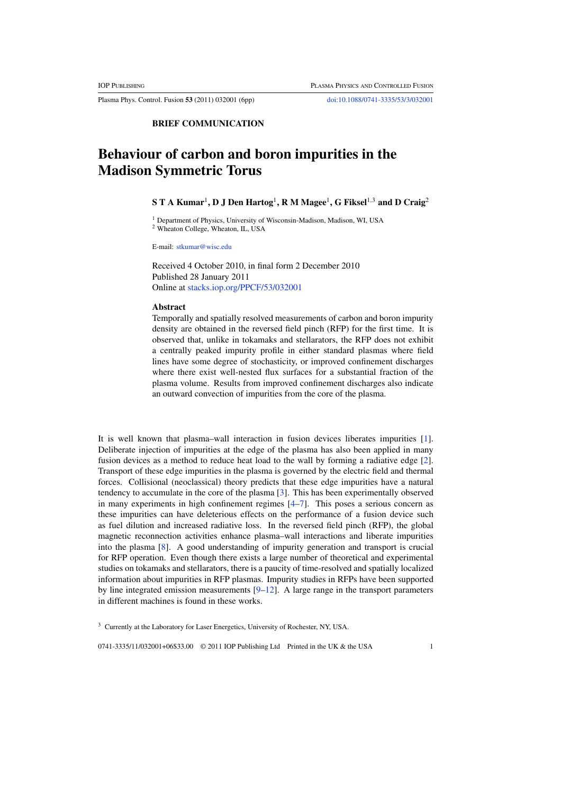Plasma Phys. Control. Fusion **53** (2011) 032001 (6pp) doi:10.1088/0741-3335/53/3/032001

**BRIEF COMMUNICATION**

# **Behaviour of carbon and boron impurities in the Madison Symmetric Torus**

## **STAKumar**<sup>1</sup>**, D J Den Hartog**<sup>1</sup>**, R M Magee**<sup>1</sup>**, G Fiksel**<sup>1</sup>,<sup>3</sup> **and D Craig**<sup>2</sup>

<sup>1</sup> Department of Physics, University of Wisconsin-Madison, Madison, WI, USA <sup>2</sup> Wheaton College, Wheaton, IL, USA

E-mail: stkumar@wisc.edu

Received 4 October 2010, in final form 2 December 2010 Published 28 January 2011 Online at stacks.iop.org/PPCF/53/032001

### **Abstract**

Temporally and spatially resolved measurements of carbon and boron impurity density are obtained in the reversed field pinch (RFP) for the first time. It is observed that, unlike in tokamaks and stellarators, the RFP does not exhibit a centrally peaked impurity profile in either standard plasmas where field lines have some degree of stochasticity, or improved confinement discharges where there exist well-nested flux surfaces for a substantial fraction of the plasma volume. Results from improved confinement discharges also indicate an outward convection of impurities from the core of the plasma.

It is well known that plasma–wall interaction in fusion devices liberates impurities [1]. Deliberate injection of impurities at the edge of the plasma has also been applied in many fusion devices as a method to reduce heat load to the wall by forming a radiative edge [2]. Transport of these edge impurities in the plasma is governed by the electric field and thermal forces. Collisional (neoclassical) theory predicts that these edge impurities have a natural tendency to accumulate in the core of the plasma [3]. This has been experimentally observed in many experiments in high confinement regimes [4–7]. This poses a serious concern as these impurities can have deleterious effects on the performance of a fusion device such as fuel dilution and increased radiative loss. In the reversed field pinch (RFP), the global magnetic reconnection activities enhance plasma–wall interactions and liberate impurities into the plasma [8]. A good understanding of impurity generation and transport is crucial for RFP operation. Even though there exists a large number of theoretical and experimental studies on tokamaks and stellarators, there is a paucity of time-resolved and spatially localized information about impurities in RFP plasmas. Impurity studies in RFPs have been supported by line integrated emission measurements  $[9-12]$ . A large range in the transport parameters in different machines is found in these works.

0741-3335/11/032001+06\$33.00 © 2011 IOP Publishing Ltd Printed in the UK & the USA 1

<sup>&</sup>lt;sup>3</sup> Currently at the Laboratory for Laser Energetics, University of Rochester, NY, USA.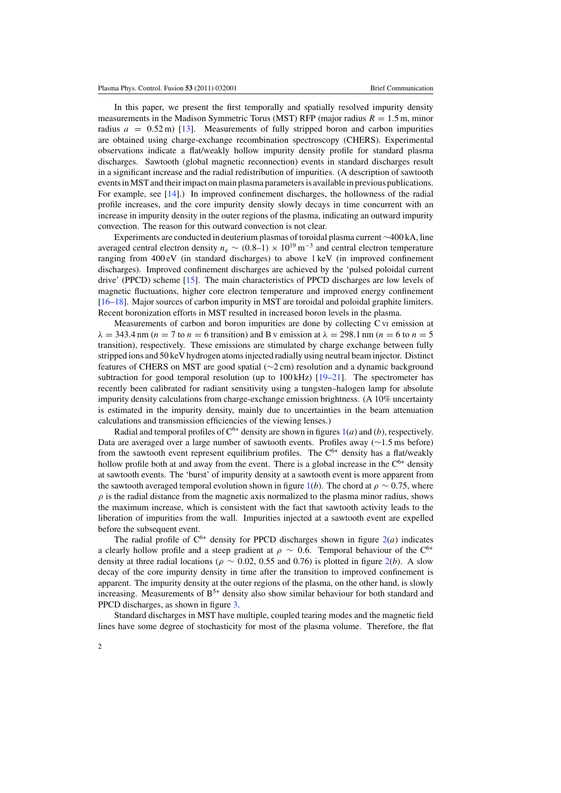In this paper, we present the first temporally and spatially resolved impurity density measurements in the Madison Symmetric Torus (MST) RFP (major radius  $R = 1.5$  m, minor radius  $a = 0.52$  m) [13]. Measurements of fully stripped boron and carbon impurities are obtained using charge-exchange recombination spectroscopy (CHERS). Experimental observations indicate a flat/weakly hollow impurity density profile for standard plasma discharges. Sawtooth (global magnetic reconnection) events in standard discharges result in a significant increase and the radial redistribution of impurities. (A description of sawtooth events inMST and their impact on main plasma parameters is available in previous publications. For example, see [14].) In improved confinement discharges, the hollowness of the radial profile increases, and the core impurity density slowly decays in time concurrent with an increase in impurity density in the outer regions of the plasma, indicating an outward impurity convection. The reason for this outward convection is not clear.

Experiments are conducted in deuterium plasmas of toroidal plasma current ∼400 kA, line averaged central electron density  $n_e \sim (0.8-1) \times 10^{19}$  m<sup>-3</sup> and central electron temperature ranging from 400 eV (in standard discharges) to above 1 keV (in improved confinement discharges). Improved confinement discharges are achieved by the 'pulsed poloidal current drive' (PPCD) scheme [15]. The main characteristics of PPCD discharges are low levels of magnetic fluctuations, higher core electron temperature and improved energy confinement [16–18]. Major sources of carbon impurity in MST are toroidal and poloidal graphite limiters. Recent boronization efforts in MST resulted in increased boron levels in the plasma.

Measurements of carbon and boron impurities are done by collecting C VI emission at  $\lambda = 343.4$  nm (n = 7 to n = 6 transition) and B v emission at  $\lambda = 298.1$  nm (n = 6 to n = 5 transition), respectively. These emissions are stimulated by charge exchange between fully stripped ions and 50 keV hydrogen atoms injected radially using neutral beam injector. Distinct features of CHERS on MST are good spatial (∼2 cm) resolution and a dynamic background subtraction for good temporal resolution (up to  $100 \text{ kHz}$ ) [19–21]. The spectrometer has recently been calibrated for radiant sensitivity using a tungsten–halogen lamp for absolute impurity density calculations from charge-exchange emission brightness. (A 10% uncertainty is estimated in the impurity density, mainly due to uncertainties in the beam attenuation calculations and transmission efficiencies of the viewing lenses.)

Radial and temporal profiles of  $C^{6+}$  density are shown in figures  $1(a)$  and (b), respectively. Data are averaged over a large number of sawtooth events. Profiles away (∼1.5 ms before) from the sawtooth event represent equilibrium profiles. The  $C^{6+}$  density has a flat/weakly hollow profile both at and away from the event. There is a global increase in the  $C<sup>6+</sup>$  density at sawtooth events. The 'burst' of impurity density at a sawtooth event is more apparent from the sawtooth averaged temporal evolution shown in figure 1(b). The chord at  $\rho \sim 0.75$ , where  $\rho$  is the radial distance from the magnetic axis normalized to the plasma minor radius, shows the maximum increase, which is consistent with the fact that sawtooth activity leads to the liberation of impurities from the wall. Impurities injected at a sawtooth event are expelled before the subsequent event.

The radial profile of  $C^{6+}$  density for PPCD discharges shown in figure  $2(a)$  indicates a clearly hollow profile and a steep gradient at  $\rho \sim 0.6$ . Temporal behaviour of the C<sup>6+</sup> density at three radial locations ( $\rho \sim 0.02$ , 0.55 and 0.76) is plotted in figure 2(*b*). A slow decay of the core impurity density in time after the transition to improved confinement is apparent. The impurity density at the outer regions of the plasma, on the other hand, is slowly increasing. Measurements of  $B^{5+}$  density also show similar behaviour for both standard and PPCD discharges, as shown in figure 3.

Standard discharges in MST have multiple, coupled tearing modes and the magnetic field lines have some degree of stochasticity for most of the plasma volume. Therefore, the flat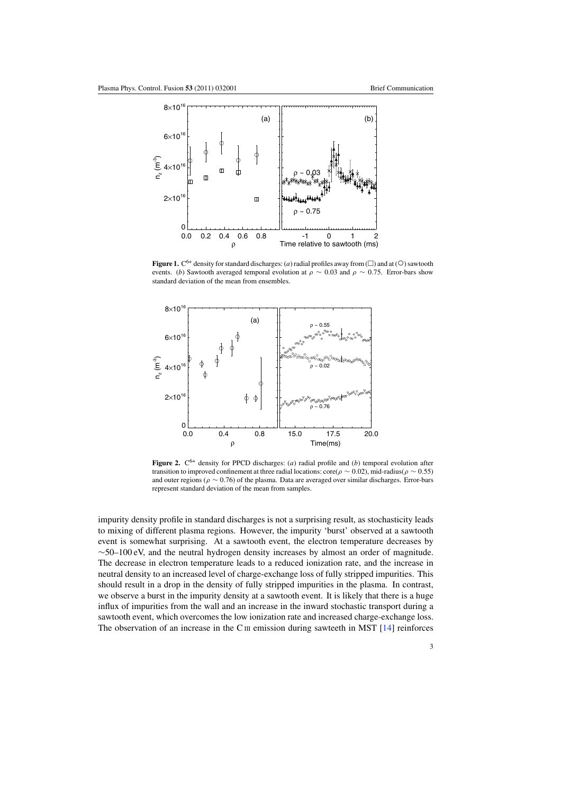

**Figure 1.**  $C^{6+}$  density for standard discharges: (*a*) radial profiles away from ( $\square$ ) and at ( $\bigcirc$ ) sawtooth events. (b) Sawtooth averaged temporal evolution at  $\rho \sim 0.03$  and  $\rho \sim 0.75$ . Error-bars show standard deviation of the mean from ensembles.



**Figure 2.**  $C^{6+}$  density for PPCD discharges: (*a*) radial profile and (*b*) temporal evolution after transition to improved confinement at three radial locations: core( $\rho \sim 0.02$ ), mid-radius( $\rho \sim 0.55$ ) and outer regions ( $\rho \sim 0.76$ ) of the plasma. Data are averaged over similar discharges. Error-bars represent standard deviation of the mean from samples.

impurity density profile in standard discharges is not a surprising result, as stochasticity leads to mixing of different plasma regions. However, the impurity 'burst' observed at a sawtooth event is somewhat surprising. At a sawtooth event, the electron temperature decreases by  $\sim$ 50–100 eV, and the neutral hydrogen density increases by almost an order of magnitude. The decrease in electron temperature leads to a reduced ionization rate, and the increase in neutral density to an increased level of charge-exchange loss of fully stripped impurities. This should result in a drop in the density of fully stripped impurities in the plasma. In contrast, we observe a burst in the impurity density at a sawtooth event. It is likely that there is a huge influx of impurities from the wall and an increase in the inward stochastic transport during a sawtooth event, which overcomes the low ionization rate and increased charge-exchange loss. The observation of an increase in the C<sub>III</sub> emission during sawteeth in MST  $[14]$  reinforces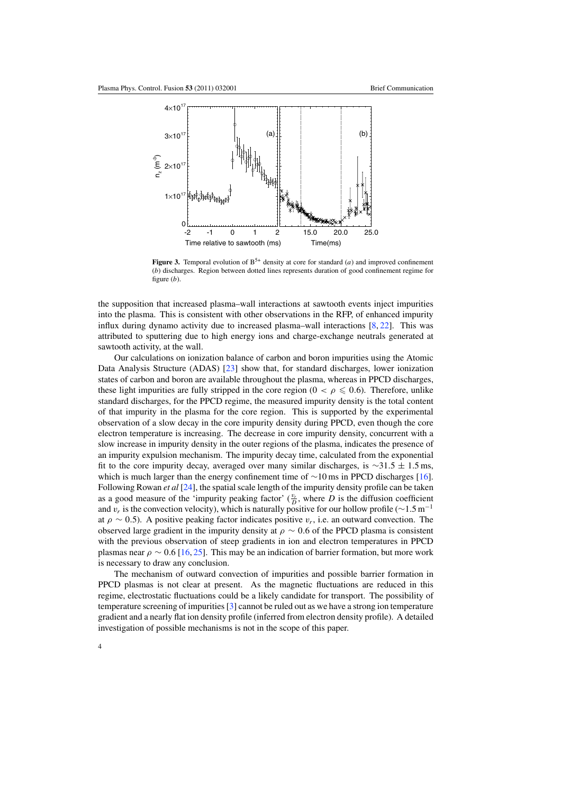

**Figure 3.** Temporal evolution of  $B^{5+}$  density at core for standard (*a*) and improved confinement (b) discharges. Region between dotted lines represents duration of good confinement regime for figure  $(b)$ .

the supposition that increased plasma–wall interactions at sawtooth events inject impurities into the plasma. This is consistent with other observations in the RFP, of enhanced impurity influx during dynamo activity due to increased plasma–wall interactions  $[8, 22]$ . This was attributed to sputtering due to high energy ions and charge-exchange neutrals generated at sawtooth activity, at the wall.

Our calculations on ionization balance of carbon and boron impurities using the Atomic Data Analysis Structure (ADAS) [23] show that, for standard discharges, lower ionization states of carbon and boron are available throughout the plasma, whereas in PPCD discharges, these light impurities are fully stripped in the core region ( $0 < \rho \leq 0.6$ ). Therefore, unlike standard discharges, for the PPCD regime, the measured impurity density is the total content of that impurity in the plasma for the core region. This is supported by the experimental observation of a slow decay in the core impurity density during PPCD, even though the core electron temperature is increasing. The decrease in core impurity density, concurrent with a slow increase in impurity density in the outer regions of the plasma, indicates the presence of an impurity expulsion mechanism. The impurity decay time, calculated from the exponential fit to the core impurity decay, averaged over many similar discharges, is  $\sim$ 31.5 ± 1.5 ms, which is much larger than the energy confinement time of ∼10 ms in PPCD discharges [16]. Following Rowan *et al* [24], the spatial scale length of the impurity density profile can be taken as a good measure of the 'impurity peaking factor'  $(\frac{v_r}{D})$ , where D is the diffusion coefficient and  $v_r$  is the convection velocity), which is naturally positive for our hollow profile (∼1.5 m<sup>-1</sup> at  $\rho \sim 0.5$ ). A positive peaking factor indicates positive  $v_r$ , i.e. an outward convection. The observed large gradient in the impurity density at  $\rho \sim 0.6$  of the PPCD plasma is consistent with the previous observation of steep gradients in ion and electron temperatures in PPCD plasmas near  $\rho \sim 0.6$  [16, 25]. This may be an indication of barrier formation, but more work is necessary to draw any conclusion.

The mechanism of outward convection of impurities and possible barrier formation in PPCD plasmas is not clear at present. As the magnetic fluctuations are reduced in this regime, electrostatic fluctuations could be a likely candidate for transport. The possibility of temperature screening of impurities [3] cannot be ruled out as we have a strong ion temperature gradient and a nearly flat ion density profile (inferred from electron density profile). A detailed investigation of possible mechanisms is not in the scope of this paper.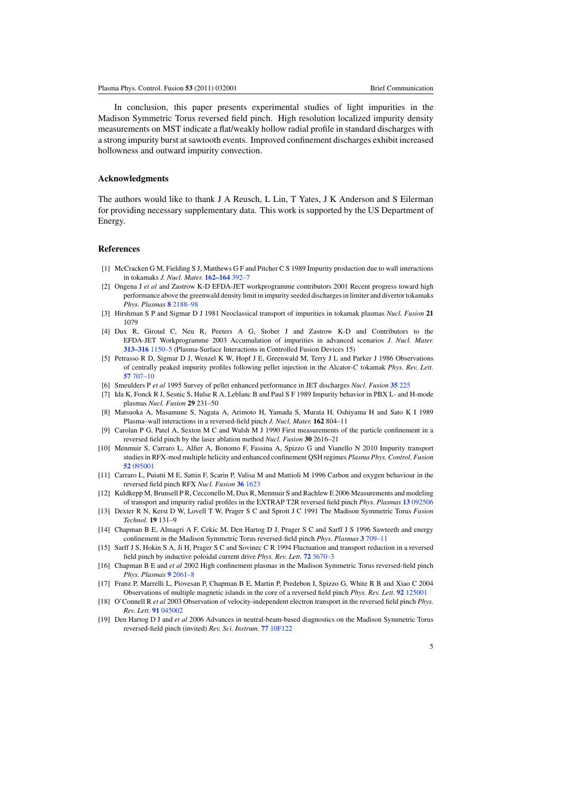In conclusion, this paper presents experimental studies of light impurities in the Madison Symmetric Torus reversed field pinch. High resolution localized impurity density measurements on MST indicate a flat/weakly hollow radial profile in standard discharges with a strong impurity burst at sawtooth events. Improved confinement discharges exhibit increased hollowness and outward impurity convection.

### **Acknowledgments**

The authors would like to thank J A Reusch, L Lin, T Yates, J K Anderson and S Eilerman for providing necessary supplementary data. This work is supported by the US Department of Energy.

#### **References**

- [1] McCracken G M, Fielding S J, Matthews G F and Pitcher C S 1989 Impurity production due to wall interactions in tokamaks *J. Nucl. Mater.* **162–164** 392–7
- [2] Ongena J *et al* and Zastrow K-D EFDA-JET workprogramme contributors 2001 Recent progress toward high performance above the greenwald density limit in impurity seeded discharges in limiter and divertor tokamaks *Phys. Plasmas* **8** 2188–98
- [3] Hirshman S P and Sigmar D J 1981 Neoclassical transport of impurities in tokamak plasmas *Nucl. Fusion* **21** 1079
- [4] Dux R, Giroud C, Neu R, Peeters A G, Stober J and Zastrow K-D and Contributors to the EFDA-JET Workprogramme 2003 Accumulation of impurities in advanced scenarios *J. Nucl. Mater.* **313–316** 1150–5 (Plasma-Surface Interactions in Controlled Fusion Devices 15)
- [5] Petrasso R D, Sigmar D J, Wenzel K W, Hopf J E, Greenwald M, Terry J L and Parker J 1986 Observations of centrally peaked impurity profiles following pellet injection in the Alcator-C tokamak *Phys. Rev. Lett.* **57** 707–10
- [6] Smeulders P *et al* 1995 Survey of pellet enhanced performance in JET discharges *Nucl. Fusion* **35** 225
- [7] Ida K, Fonck R J, Sesnic S, Hulse R A, Leblanc B and Paul S F 1989 Impurity behavior in PBX L- and H-mode plasmas *Nucl. Fusion* **29** 231–50
- [8] Matsuoka A, Masamune S, Nagata A, Arimoto H, Yamada S, Murata H, Oshiyama H and Sato K I 1989 Plasma–wall interactions in a reversed-field pinch *J. Nucl. Mater.* **162** 804–11
- [9] Carolan P G, Patel A, Sexton M C and Walsh M J 1990 First measurements of the particle confinement in a reversed field pinch by the laser ablation method *Nucl. Fusion* **30** 2616–21
- [10] Menmuir S, Carraro L, Alfier A, Bonomo F, Fassina A, Spizzo G and Vianello N 2010 Impurity transport studies in RFX-mod multiple helicity and enhanced confinement QSH regimes *Plasma Phys. Control. Fusion* **52** 095001
- [11] Carraro L, Puiatti M E, Sattin F, Scarin P, Valisa M and Mattioli M 1996 Carbon and oxygen behaviour in the reversed field pinch RFX *Nucl. Fusion* **36** 1623
- [12] Kuldkepp M, Brunsell P R, Cecconello M, Dux R, Menmuir S and Rachlew E 2006 Measurements and modeling of transport and impurity radial profiles in the EXTRAP T2R reversed field pinch *Phys. Plasmas* **13** 092506
- [13] Dexter R N, Kerst D W, Lovell T W, Prager S C and Sprott J C 1991 The Madison Symmetric Torus *Fusion Technol.* **19** 131–9
- [14] Chapman B E, Almagri A F, Cekic M, Den Hartog D J, Prager S C and Sarff J S 1996 Sawteeth and energy confinement in the Madison Symmetric Torus reversed-field pinch *Phys. Plasmas* **3** 709–11
- [15] Sarff J S, Hokin S A, Ji H, Prager S C and Sovinec C R 1994 Fluctuation and transport reduction in a reversed field pinch by inductive poloidal current drive *Phys. Rev. Lett.* **72** 3670–3
- [16] Chapman B E and *et al* 2002 High confinement plasmas in the Madison Symmetric Torus reversed-field pinch *Phys. Plasmas* **9** 2061–8
- [17] Franz P, Marrelli L, Piovesan P, Chapman B E, Martin P, Predebon I, Spizzo G, White R B and Xiao C 2004 Observations of multiple magnetic islands in the core of a reversed field pinch *Phys. Rev. Lett.* **92** 125001
- [18] O'Connell R *et al* 2003 Observation of velocity-independent electron transport in the reversed field pinch *Phys. Rev. Lett.* **91** 045002
- [19] Den Hartog D J and *et al* 2006 Advances in neutral-beam-based diagnostics on the Madison Symmetric Torus reversed-field pinch (invited) *Rev. Sci. Instrum.* **77** 10F122